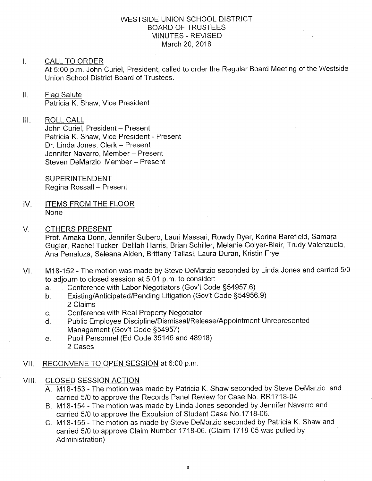# WESTSIDE UNION SCHOOL DISTRICT BOARD OF TRUSTEES MINUTES - REVISED March 20,2018

#### $\mathbf{L}$ CALL TO ORDER

At 5:00 p.m. John Curiel, President, called to order the Regular Board Meeting of the Westside Union School District Board of Trustees.

# ll. Flaq Salute Patricia K. Shaw, Vice President

III. ROLL CALL John Curiel, President - Present Patricia K. Shaw, Vice President - Present Dr. Linda Jones, Clerk - Present Jennifer Navarro, Member - Present Steven DeMarzio, Member - Present

> SUPERINTENDENT Regina Rossall - Present

- IV. ITEMS FROM THE FLOOR None
- V. OTHERS PRESENT

Prof. Amaka Donn, Jennifer Subero, Lauri Massari, Rowdy Dyer, Korina Barefield, Samara Gugler, Rachel Tucker, Delilah Harris, Brian Schiller, Melanie Golyer-Blair, Trudy Valenzuela, Ana Penaloza, Seleana Alden, Brittany Tallasi, Laura Duran, Kristin Frye

- VI. M18-152 The motion was made by Steve DeMarzio seconded by Linda Jones and carried 5/0 to adjourn to closed session at 5:01 p.m. to consider:<br>a. Conference with Labor Negotiators (Gov't Code §54957.6)
	-
	- a. Conference with Labor Negotiators (Gov't Code §54957.6)<br>b. Existing/Anticipated/Pending Litigation (Gov't Code §54956.9) 2 Claims
	-
	- c. Conference with Real Property Negotiator<br>d. Public Employee Discipline/Dismissal/Release/Appointment Unrepresented Management (Gov't Code S54957)
	- e. Pupil Personnel (Ed Code 35146 and 48918) 2 Cases
- Vll. RECONVENE TO OPEN SESSION at 6:00 p.m
- VIII. CLOSED SESSION ACTION
	- A. M1B-153 The motion was made by Patricia K. Shaw seconded by Steve DeMarzio and carried 5/0 to approve the Records Panel Review for Case No. RR1718-04
	- B. M1B-154 The motion was made by Linda Jones seconded by Jennifer Navarro and carried 5/0 to approve the Expulsion of Student Case No.1718-06.
	- C. M1B-155 The motion as made by Steve DeMarzio seconded by Patricia K. Shaw and carried 5/0 to approve Claim Number 1718-06. (Claim 1718-05 was pulled by Administration)

a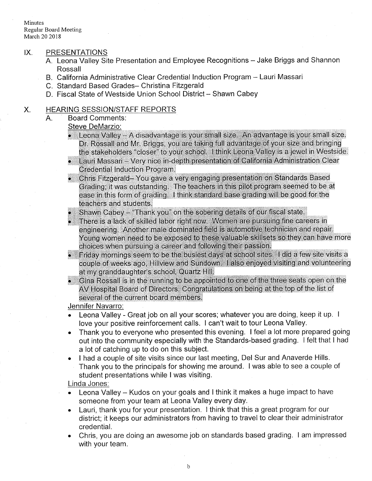Minutes Regular Board Meeting March 20 2018

### IX. PRESENTATIONS

- A. Leona Valley Site Presentation and Employee Recognitions Jake Briggs and Shannon Rossall
- B. California Administrative Clear Credential lnduction Program Lauri Massari
- C. Standard Based Grades- Christina Fitzgerald
- D. Fiscal State of Westside Union School District Shawn Cabey

# X. HEARING SESSION/STAFF REPORTS

A. Board Comments

# Steve DeMarzio:

- Leona Valley A disadvantage is your small size. An advantage is your small size. Dr. Rossall and Mr. Briggs, you are taking full advantage of your size and bringing the stakeholders "closer" to your school. I think Leona Valley is a jewel in Westside.
- Lauri Massari Very nice in-depth presentation of California Administration Clear **Credential Induction Program.**
- Chris Fitzgerald-You gave a very engaging presentation on Standards Based Grading; it was outstanding. The teachers in this pilot program seemed to be at ease in this form of grading. I think standard base grading will be good for the teachers and students.
- Shawn Cabey "Thank you" on the sobering details of our fiscal state.
- There is a lack of skilled labor right now. Women are pursuing fine careers in engineering. Another male dominated field is automotive technician and repair. Young women need to be exposed to these valuable skillsets so they can have more choices when pursuing a career and following their passion.
- Friday mornings seem to be the busiest days at school sites. I did a few site visits a couple of weeks ago, Hillview and Sundown. I also enjoyed visiting and volunteering at my granddaughter's school, Quartz Hill.
- Gina Rossall is in the running to be appointed to one of the three seats open on the AV Hospital Board of Directors. Congratulations on being at the top of the list of several of the current board members.

# Jennifer Navarro:

- . Leona Valley Great job on all your scores; whatever you are doing, keep it up. <sup>I</sup> love your positive reinforcement calls. I can't wait to tour Leona Valley.
- . Thank you to everyone who presented this evening. I feel a lot more prepared going out into the community especially with the Standards-based grading. I felt that I had <sup>a</sup>lot of catching up to do on this subject.
- . I had a couple of site visits since our last meeting, Del Sur and Anaverde Hills. Thank you to the principals for showing me around. I was able to see a couple of student presentations while I was visiting.

## Linda Jones:

- Leona Valley Kudos on your goals and I think it makes a huge impact to have someone from your team at Leona Valley every day. a
- Lauri, thank you for your presentation. I think that this a great program for our district; it keeps our administrators from having to travel to clear their administrator credential. a
- Chris, you are doing an awesome job on standards based grading. I am impressed with your team. a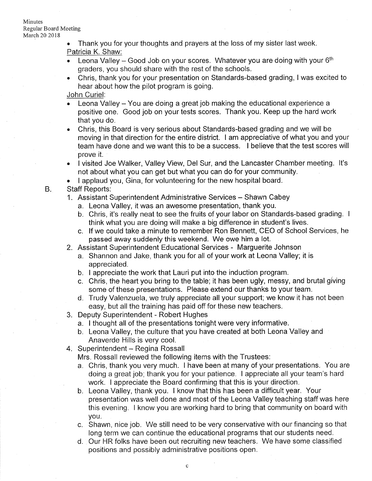Minutes Regular Board Meeting March 20 2018

> Thank you for your thoughts and prayers at the loss of my sister last week. Patricia K. Shaw:

- **.** Leona Valley Good Job on your scores. Whatever you are doing with your  $6<sup>th</sup>$ graders, you should share with the rest of the schools.
- . Chris, thank you for your presentation on Standards-based grading, I was excited to hear about how the pilot program is going.

John Curiel:

- **Leona Valley You are doing a great job making the educational experience a** positive one. Good job on your tests scores. Thank you. Keep up the hard work that you do.
- . Chris, this Board is very serious about Standards-based grading and we will be moving in that direction for the entire district. I am appreciative of what you and your team have done and we want this to be a success. I believe that the test scores will prove it.
- . I visited Joe Walker, Valley View, Del Sur, and the Lancaster Chamber meeting. lt's not about what you can get but what you can do for your community.
- . <sup>I</sup>applaud you, Gina, for volunteering for the new hospital board.
- Staff Reports:

 $B<sub>1</sub>$ 

- 1. Assistant Superintendent Administrative Services Shawn Cabey
	- a. Leona Valley, it was an awesome presentation, thank you.
	- b. Chris, it's really neat to see the fruits of your labor on Standards-based grading. <sup>I</sup> think what you are doing will make a big difference in student's lives.
	- c. lf we could take a minute to remember Ron Bennett, CEO of School Services, he passed away suddenly this weekend. We owe him a lot.
- 2. Assistant Superintendent Educational Services Marguerite Johnson
	- a. Shannon and Jake, thank you for all of your work at Leona Valley; it is appreciated.
	- b. I appreciate the work that Lauri put into the induction program.
	- c. Chris, the heart you bring to the table; it has been ugly, messy, and brutal giving some of these presentations. Please extend our thanks to your team.
- d. Trudy Valenzuela, we truly appreciate all your support; we know it has not been easy, but all the training has paid off for these new teachers. 3. Deputy Superintendent - Robert Hughes
- - a. I thought all of the presentations tonight were very informative.
	- b. Leona Valley, the culture that you have created at both Leona Valley and Anaverde Hills is very cool.
- 4. Superintendent Regina Rossall

Mrs. Rossall reviewed the following items with the Trustees:

- a. Chris, thank you very much. I have been at many of your presentations. You are doing a great job; thank you for your patience. I appreciate all your team's hard work. I appreciate the Board confirming that this is your direction.
- b. Leona Valley, thank you. I know that this has been a difficult year. Your presentation was well done and most of the Leona Valley teaching staff was here this evening. I know you are working hard to bring that community on board with you.
- c. Shawn, nice job. We still need to be very conservative with our financing so that long term we can continue the educational programs that our students need. d. Our HR folks have been out recruiiing new teachers. We have some classified
- positions and possibly administrative positions open.

c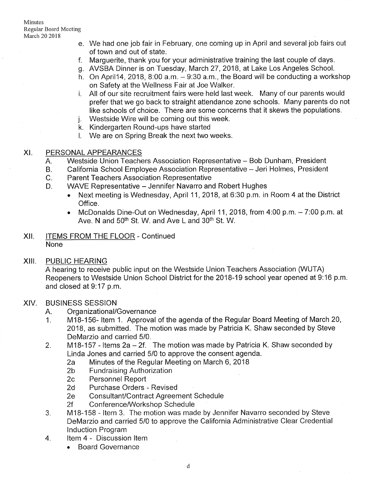- e. We had one job fair in February, one coming up in April and several job fairs out of town and out of state.
- Marguerite, thank you for your administrative training the last couple of days. f.
- g. AVSBA Dinner is on Tuesday, March 27, 2018, at Lake Los Angeles School
- h. On April14, 2018, 8:00 a.m. 9:30 a.m., the Board will be conducting a workshop on Safety at the Wellness Fair at Joe Walker.
- All of our site recruitment fairs were held last week. Many of our parents would i. prefer that we go back to straight attendance zone schools. Many parents do not like schools of choice. There are some concerns that it skews the populations.
- Westside Wire will be coming out this week. J.
- k. Kindergarten Round-ups have started
- l. We are on Spring Break the next two weeks

## XI. PERSONAL APPEARANCES

- Westside Union Teachers Association Representative Bob Dunham, President  $A_{n}$
- California School Employee Association Representative Jeri Holmes, President B
- Parent Teachers Association Representative  $C<sub>r</sub>$
- WAVE Representative Jennifer Navarro and Robert Hughes  $D_{-}$ 
	- . Next meeting is Wednesday, April 11,2018, at 6:30 p.m. in Room 4 at the District Office.
	- McDonalds Dine-Out on Wednesday, April 11, 2018, from  $4:00$  p.m.  $-7:00$  p.m. at Ave. N and 50<sup>th</sup> St. W. and Ave L and 30<sup>th</sup> St. W.

## Xll. ITEMS FROM THE FLOOR - Continued None

### XIII. PUBLIC HEARING

<sup>A</sup>hearing to receive public input on the Westside Union Teachers Association (WUTA) Reopeners to Westside Union School District for the 2018-19 school year opened at 9:16 p.m and closed at 9:17 p.m.

## XIV. BUSINESS SESSION

- 
- A. Organizational/Governance<br>1. M18-156- Item 1. Approval of the agenda of the Regular Board Meeting of March 20, 2018, as submitted. The motion was made by Patricia K. Shaw seconded by Steve DeMarzio and carried 5/0.
- 2. M18-157 Items  $2a 2f$ . The motion was made by Patricia K. Shaw seconded by Linda Jones and carried 5/0 to approve the consent agenda.<br>
2a Minutes of the Regular Meeting on March 6, 2018<br>
2b Fundraising Authorization<br>
2c Personnel Report<br>
2d Purchase Orders - Revised
	-
	-
	-
	-
	-
	-
- 2e Consultant/Contract Agreement Schedule<br>2f Conference/Workshop Schedule<br>3. M18-158 Item 3. The motion was made by Jennifer Navarro seconded by Steve DeMarzio and carried 5/0 to approve the California Administrative Clear Credential Induction Program<br>4. ltem 4 - Discussion Item
- - . Board Governance